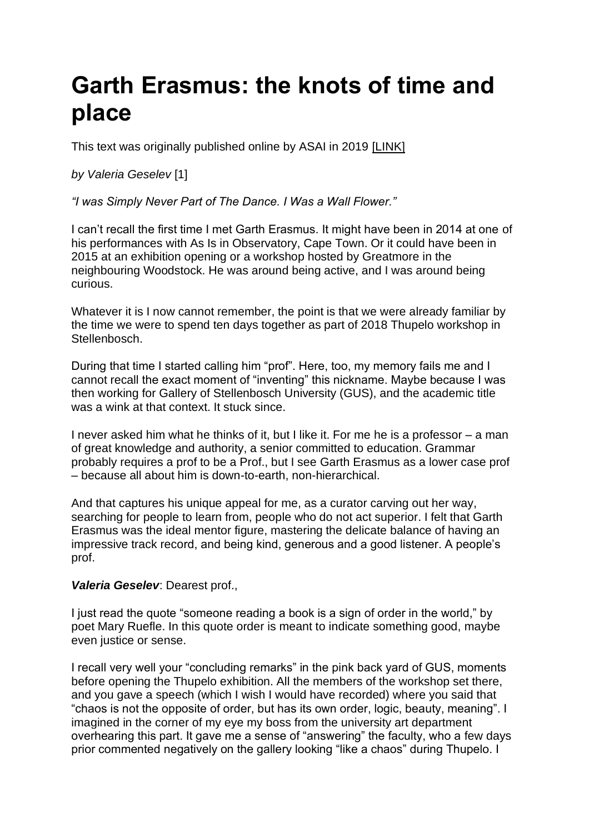## **Garth Erasmus: the knots of time and place**

This text was originally published online by ASAI in 2019 [\[LINK\]](https://asai.co.za/garth-erasmus-time-and-place/#more-18570)

*by Valeria Geselev* [1]

*"I was Simply Never Part of The Dance. I Was a Wall Flower."*

I can't recall the first time I met Garth Erasmus. It might have been in 2014 at one of his performances with As Is in Observatory, Cape Town. Or it could have been in 2015 at an exhibition opening or a workshop hosted by Greatmore in the neighbouring Woodstock. He was around being active, and I was around being curious.

Whatever it is I now cannot remember, the point is that we were already familiar by the time we were to spend ten days together as part of 2018 Thupelo workshop in Stellenbosch.

During that time I started calling him "prof". Here, too, my memory fails me and I cannot recall the exact moment of "inventing" this nickname. Maybe because I was then working for Gallery of Stellenbosch University (GUS), and the academic title was a wink at that context. It stuck since.

I never asked him what he thinks of it, but I like it. For me he is a professor – a man of great knowledge and authority, a senior committed to education. Grammar probably requires a prof to be a Prof., but I see Garth Erasmus as a lower case prof – because all about him is down-to-earth, non-hierarchical.

And that captures his unique appeal for me, as a curator carving out her way, searching for people to learn from, people who do not act superior. I felt that Garth Erasmus was the ideal mentor figure, mastering the delicate balance of having an impressive track record, and being kind, generous and a good listener. A people's prof.

## *Valeria Geselev*: Dearest prof.,

I just read the quote "someone reading a book is a sign of order in the world," by poet Mary Ruefle. In this quote order is meant to indicate something good, maybe even justice or sense.

I recall very well your "concluding remarks" in the pink back yard of GUS, moments before opening the Thupelo exhibition. All the members of the workshop set there, and you gave a speech (which I wish I would have recorded) where you said that "chaos is not the opposite of order, but has its own order, logic, beauty, meaning". I imagined in the corner of my eye my boss from the university art department overhearing this part. It gave me a sense of "answering" the faculty, who a few days prior commented negatively on the gallery looking "like a chaos" during Thupelo. I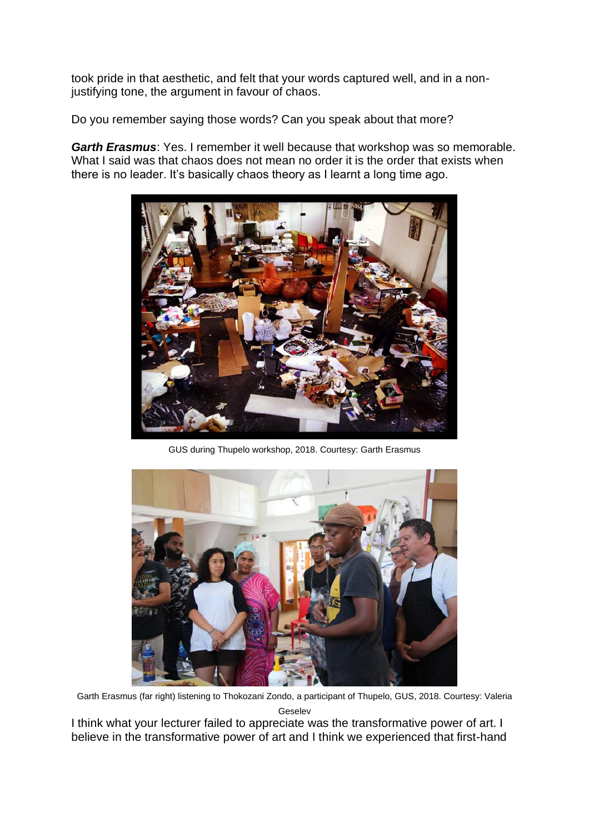took pride in that aesthetic, and felt that your words captured well, and in a nonjustifying tone, the argument in favour of chaos.

Do you remember saying those words? Can you speak about that more?

*[Garth Erasmus](https://asai.co.za/artist/garth-erasmus/)*: Yes. I remember it well because that workshop was so memorable. What I said was that chaos does not mean no order it is the order that exists when there is no leader. It's basically chaos theory as I learnt a long time ago.



GUS during Thupelo workshop, 2018. Courtesy: Garth Erasmus



Garth Erasmus (far right) listening to Thokozani Zondo, a participant of Thupelo, GUS, 2018. Courtesy: Valeria Geselev

I think what your lecturer failed to appreciate was the transformative power of art. I believe in the transformative power of art and I think we experienced that first-hand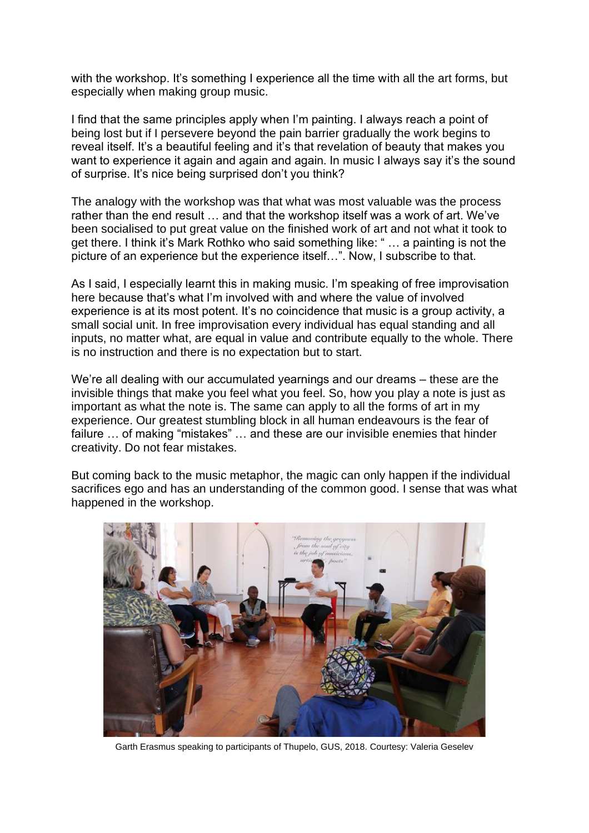with the workshop. It's something I experience all the time with all the art forms, but especially when making group music.

I find that the same principles apply when I'm painting. I always reach a point of being lost but if I persevere beyond the pain barrier gradually the work begins to reveal itself. It's a beautiful feeling and it's that revelation of beauty that makes you want to experience it again and again and again. In music I always say it's the sound of surprise. It's nice being surprised don't you think?

The analogy with the workshop was that what was most valuable was the process rather than the end result … and that the workshop itself was a work of art. We've been socialised to put great value on the finished work of art and not what it took to get there. I think it's Mark Rothko who said something like: " … a painting is not the picture of an experience but the experience itself…". Now, I subscribe to that.

As I said, I especially learnt this in making music. I'm speaking of free improvisation here because that's what I'm involved with and where the value of involved experience is at its most potent. It's no coincidence that music is a group activity, a small social unit. In free improvisation every individual has equal standing and all inputs, no matter what, are equal in value and contribute equally to the whole. There is no instruction and there is no expectation but to start.

We're all dealing with our accumulated yearnings and our dreams – these are the invisible things that make you feel what you feel. So, how you play a note is just as important as what the note is. The same can apply to all the forms of art in my experience. Our greatest stumbling block in all human endeavours is the fear of failure … of making "mistakes" … and these are our invisible enemies that hinder creativity. Do not fear mistakes.

But coming back to the music metaphor, the magic can only happen if the individual sacrifices ego and has an understanding of the common good. I sense that was what happened in the workshop.



Garth Erasmus speaking to participants of Thupelo, GUS, 2018. Courtesy: Valeria Geselev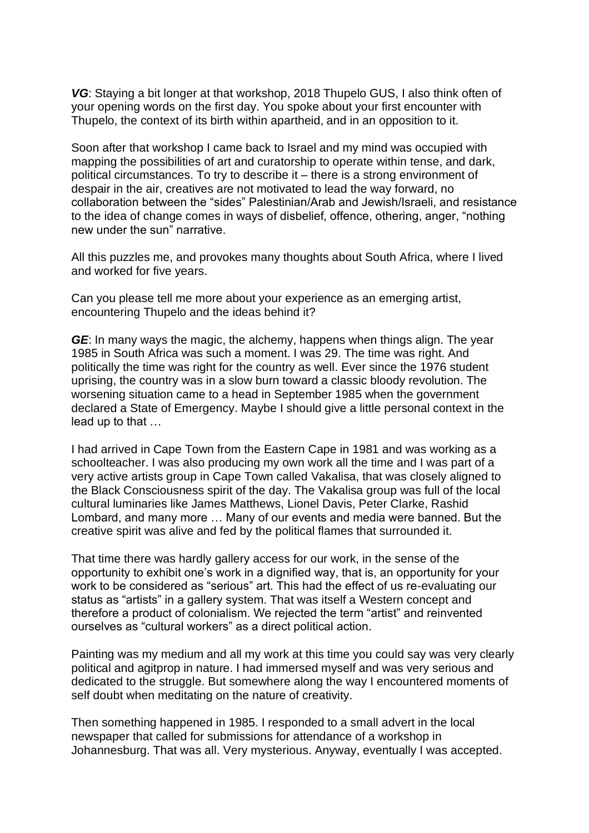*VG*: Staying a bit longer at that workshop, 2018 Thupelo GUS, I also think often of your opening words on the first day. You spoke about your first encounter with Thupelo, the context of its birth within apartheid, and in an opposition to it.

Soon after that workshop I came back to Israel and my mind was occupied with mapping the possibilities of art and curatorship to operate within tense, and dark, political circumstances. To try to describe it – there is a strong environment of despair in the air, creatives are not motivated to lead the way forward, no collaboration between the "sides" Palestinian/Arab and Jewish/Israeli, and resistance to the idea of change comes in ways of disbelief, offence, othering, anger, "nothing new under the sun" narrative.

All this puzzles me, and provokes many thoughts about South Africa, where I lived and worked for five years.

Can you please tell me more about your experience as an emerging artist, encountering Thupelo and the ideas behind it?

*GE*: In many ways the magic, the alchemy, happens when things align. The year 1985 in South Africa was such a moment. I was 29. The time was right. And politically the time was right for the country as well. Ever since the 1976 student uprising, the country was in a slow burn toward a classic bloody revolution. The worsening situation came to a head in September 1985 when the government declared a State of Emergency. Maybe I should give a little personal context in the lead up to that …

I had arrived in Cape Town from the Eastern Cape in 1981 and was working as a schoolteacher. I was also producing my own work all the time and I was part of a very active artists group in Cape Town called [Vakalisa,](https://asai.co.za/peoplesculture/vakalisa-arts-association/) that was closely aligned to the Black Consciousness spirit of the day. The Vakalisa group was full of the local cultural luminaries like James Matthews, [Lionel Davis,](https://asai.co.za/artist/lionel-davis/) Peter Clarke, Rashid Lombard, and many more … Many of our events and media were banned. But the creative spirit was alive and fed by the political flames that surrounded it.

That time there was hardly gallery access for our work, in the sense of the opportunity to exhibit one's work in a dignified way, that is, an opportunity for your work to be considered as "serious" art. This had the effect of us re-evaluating our status as "artists" in a gallery system. That was itself a Western concept and therefore a product of colonialism. We rejected the term "artist" and reinvented ourselves as "cultural workers" as a direct political action.

Painting was my medium and all my work at this time you could say was very clearly political and agitprop in nature. I had immersed myself and was very serious and dedicated to the struggle. But somewhere along the way I encountered moments of self doubt when meditating on the nature of creativity.

Then something happened in 1985. I responded to a small advert in the local newspaper that called for submissions for attendance of a workshop in Johannesburg. That was all. Very mysterious. Anyway, eventually I was accepted.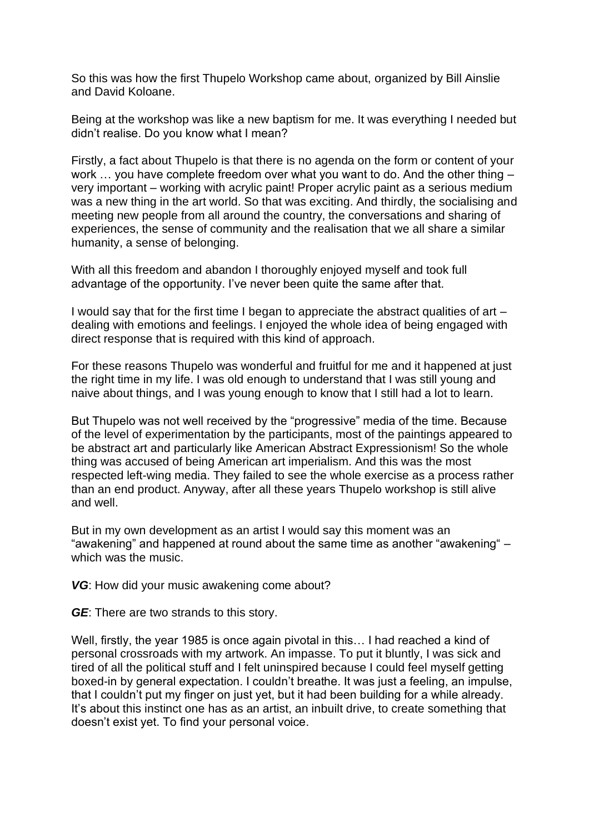So this was how the first Thupelo Workshop came about, organized by Bill Ainslie and David Koloane.

Being at the workshop was like a new baptism for me. It was everything I needed but didn't realise. Do you know what I mean?

Firstly, a fact about Thupelo is that there is no agenda on the form or content of your work ... you have complete freedom over what you want to do. And the other thing – very important – working with acrylic paint! Proper acrylic paint as a serious medium was a new thing in the art world. So that was exciting. And thirdly, the socialising and meeting new people from all around the country, the conversations and sharing of experiences, the sense of community and the realisation that we all share a similar humanity, a sense of belonging.

With all this freedom and abandon I thoroughly enjoyed myself and took full advantage of the opportunity. I've never been quite the same after that.

I would say that for the first time I began to appreciate the abstract qualities of art – dealing with emotions and feelings. I enjoyed the whole idea of being engaged with direct response that is required with this kind of approach.

For these reasons Thupelo was wonderful and fruitful for me and it happened at just the right time in my life. I was old enough to understand that I was still young and naive about things, and I was young enough to know that I still had a lot to learn.

But Thupelo was not well received by the "progressive" media of the time. Because of the level of experimentation by the participants, most of the paintings appeared to be abstract art and particularly like American Abstract Expressionism! So the whole thing was accused of being American art imperialism. And this was the most respected left-wing media. They failed to see the whole exercise as a process rather than an end product. Anyway, after all these years Thupelo workshop is still alive and well.

But in my own development as an artist I would say this moment was an "awakening" and happened at round about the same time as another "awakening" – which was the music.

*VG*: How did your music awakening come about?

*GE*: There are two strands to this story.

Well, firstly, the year 1985 is once again pivotal in this… I had reached a kind of personal crossroads with my artwork. An impasse. To put it bluntly, I was sick and tired of all the political stuff and I felt uninspired because I could feel myself getting boxed-in by general expectation. I couldn't breathe. It was just a feeling, an impulse, that I couldn't put my finger on just yet, but it had been building for a while already. It's about this instinct one has as an artist, an inbuilt drive, to create something that doesn't exist yet. To find your personal voice.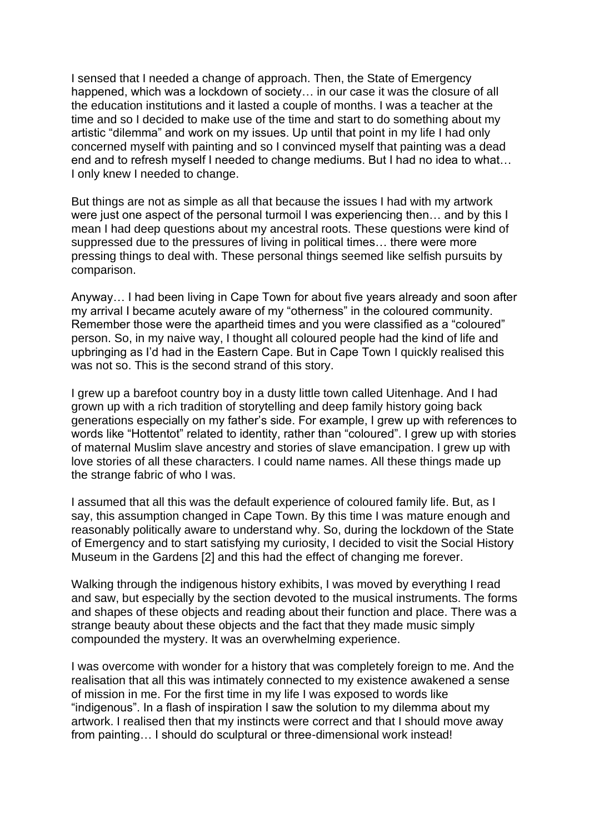I sensed that I needed a change of approach. Then, the State of Emergency happened, which was a lockdown of society… in our case it was the closure of all the education institutions and it lasted a couple of months. I was a teacher at the time and so I decided to make use of the time and start to do something about my artistic "dilemma" and work on my issues. Up until that point in my life I had only concerned myself with painting and so I convinced myself that painting was a dead end and to refresh myself I needed to change mediums. But I had no idea to what… I only knew I needed to change.

But things are not as simple as all that because the issues I had with my artwork were just one aspect of the personal turmoil I was experiencing then… and by this I mean I had deep questions about my ancestral roots. These questions were kind of suppressed due to the pressures of living in political times… there were more pressing things to deal with. These personal things seemed like selfish pursuits by comparison.

Anyway… I had been living in Cape Town for about five years already and soon after my arrival I became acutely aware of my "otherness" in the coloured community. Remember those were the apartheid times and you were classified as a "coloured" person. So, in my naive way, I thought all coloured people had the kind of life and upbringing as I'd had in the Eastern Cape. But in Cape Town I quickly realised this was not so. This is the second strand of this story.

I grew up a barefoot country boy in a dusty little town called Uitenhage. And I had grown up with a rich tradition of storytelling and deep family history going back generations especially on my father's side. For example, I grew up with references to words like "Hottentot" related to identity, rather than "coloured". I grew up with stories of maternal Muslim slave ancestry and stories of slave emancipation. I grew up with love stories of all these characters. I could name names. All these things made up the strange fabric of who I was.

I assumed that all this was the default experience of coloured family life. But, as I say, this assumption changed in Cape Town. By this time I was mature enough and reasonably politically aware to understand why. So, during the lockdown of the State of Emergency and to start satisfying my curiosity, I decided to visit the Social History Museum in the Gardens [2] and this had the effect of changing me forever.

Walking through the indigenous history exhibits, I was moved by everything I read and saw, but especially by the section devoted to the musical instruments. The forms and shapes of these objects and reading about their function and place. There was a strange beauty about these objects and the fact that they made music simply compounded the mystery. It was an overwhelming experience.

I was overcome with wonder for a history that was completely foreign to me. And the realisation that all this was intimately connected to my existence awakened a sense of mission in me. For the first time in my life I was exposed to words like "indigenous". In a flash of inspiration I saw the solution to my dilemma about my artwork. I realised then that my instincts were correct and that I should move away from painting… I should do sculptural or three-dimensional work instead!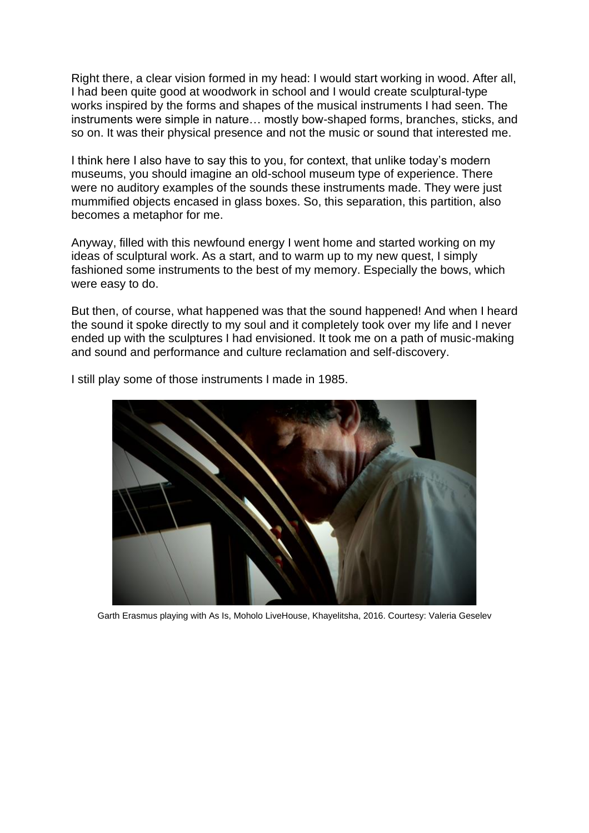Right there, a clear vision formed in my head: I would start working in wood. After all, I had been quite good at woodwork in school and I would create sculptural-type works inspired by the forms and shapes of the musical instruments I had seen. The instruments were simple in nature… mostly bow-shaped forms, branches, sticks, and so on. It was their physical presence and not the music or sound that interested me.

I think here I also have to say this to you, for context, that unlike today's modern museums, you should imagine an old-school museum type of experience. There were no auditory examples of the sounds these instruments made. They were just mummified objects encased in glass boxes. So, this separation, this partition, also becomes a metaphor for me.

Anyway, filled with this newfound energy I went home and started working on my ideas of sculptural work. As a start, and to warm up to my new quest, I simply fashioned some instruments to the best of my memory. Especially the bows, which were easy to do.

But then, of course, what happened was that the sound happened! And when I heard the sound it spoke directly to my soul and it completely took over my life and I never ended up with the sculptures I had envisioned. It took me on a path of music-making and sound and performance and culture reclamation and self-discovery.



I still play some of those instruments I made in 1985.

Garth Erasmus playing with As Is, Moholo LiveHouse, Khayelitsha, 2016. Courtesy: Valeria Geselev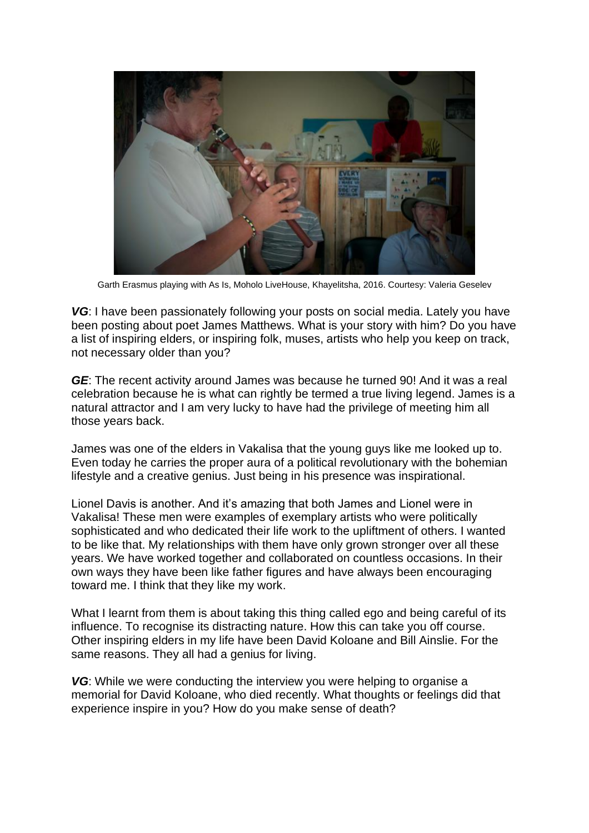

Garth Erasmus playing with As Is, Moholo LiveHouse, Khayelitsha, 2016. Courtesy: Valeria Geselev

*VG*: I have been passionately following your posts on social media. Lately you have been posting about poet James Matthews. What is your story with him? Do you have a list of inspiring elders, or inspiring folk, muses, artists who help you keep on track, not necessary older than you?

*GE*: The recent activity around James was because he turned 90! And it was a real celebration because he is what can rightly be termed a true living legend. James is a natural attractor and I am very lucky to have had the privilege of meeting him all those years back.

James was one of the elders in Vakalisa that the young guys like me looked up to. Even today he carries the proper aura of a political revolutionary with the bohemian lifestyle and a creative genius. Just being in his presence was inspirational.

Lionel Davis is another. And it's amazing that both James and Lionel were in Vakalisa! These men were examples of exemplary artists who were politically sophisticated and who dedicated their life work to the upliftment of others. I wanted to be like that. My relationships with them have only grown stronger over all these years. We have worked together and collaborated on countless occasions. In their own ways they have been like father figures and have always been encouraging toward me. I think that they like my work.

What I learnt from them is about taking this thing called ego and being careful of its influence. To recognise its distracting nature. How this can take you off course. Other inspiring elders in my life have been David Koloane and Bill Ainslie. For the same reasons. They all had a genius for living.

**VG:** While we were conducting the interview you were helping to organise a memorial for David Koloane, who died recently. What thoughts or feelings did that experience inspire in you? How do you make sense of death?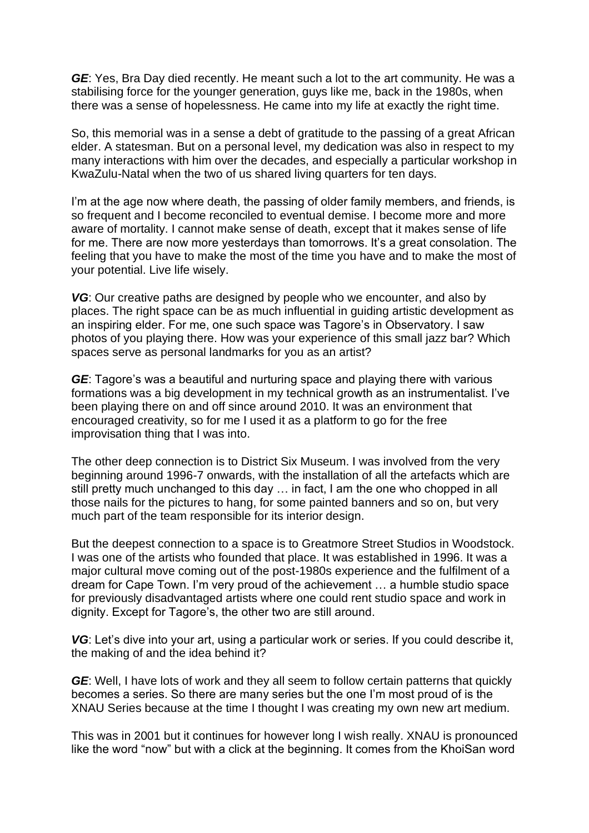*GE*: Yes, Bra Day died recently. He meant such a lot to the art community. He was a stabilising force for the younger generation, guys like me, back in the 1980s, when there was a sense of hopelessness. He came into my life at exactly the right time.

So, this memorial was in a sense a debt of gratitude to the passing of a great African elder. A statesman. But on a personal level, my dedication was also in respect to my many interactions with him over the decades, and especially a particular workshop in KwaZulu-Natal when the two of us shared living quarters for ten days.

I'm at the age now where death, the passing of older family members, and friends, is so frequent and I become reconciled to eventual demise. I become more and more aware of mortality. I cannot make sense of death, except that it makes sense of life for me. There are now more yesterdays than tomorrows. It's a great consolation. The feeling that you have to make the most of the time you have and to make the most of your potential. Live life wisely.

*VG*: Our creative paths are designed by people who we encounter, and also by places. The right space can be as much influential in guiding artistic development as an inspiring elder. For me, one such space was Tagore's in Observatory. I saw photos of you playing there. How was your experience of this small jazz bar? Which spaces serve as personal landmarks for you as an artist?

*GE*: Tagore's was a beautiful and nurturing space and playing there with various formations was a big development in my technical growth as an instrumentalist. I've been playing there on and off since around 2010. It was an environment that encouraged creativity, so for me I used it as a platform to go for the free improvisation thing that I was into.

The other deep connection is to District Six Museum. I was involved from the very beginning around 1996-7 onwards, with the installation of all the artefacts which are still pretty much unchanged to this day … in fact, I am the one who chopped in all those nails for the pictures to hang, for some painted banners and so on, but very much part of the team responsible for its interior design.

But the deepest connection to a space is to Greatmore Street Studios in Woodstock. I was one of the artists who founded that place. It was established in 1996. It was a major cultural move coming out of the post-1980s experience and the fulfilment of a dream for Cape Town. I'm very proud of the achievement … a humble studio space for previously disadvantaged artists where one could rent studio space and work in dignity. Except for Tagore's, the other two are still around.

VG: Let's dive into your art, using a particular work or series. If you could describe it, the making of and the idea behind it?

*GE*: Well, I have lots of work and they all seem to follow certain patterns that quickly becomes a series. So there are many series but the one I'm most proud of is the XNAU Series because at the time I thought I was creating my own new art medium.

This was in 2001 but it continues for however long I wish really. XNAU is pronounced like the word "now" but with a click at the beginning. It comes from the KhoiSan word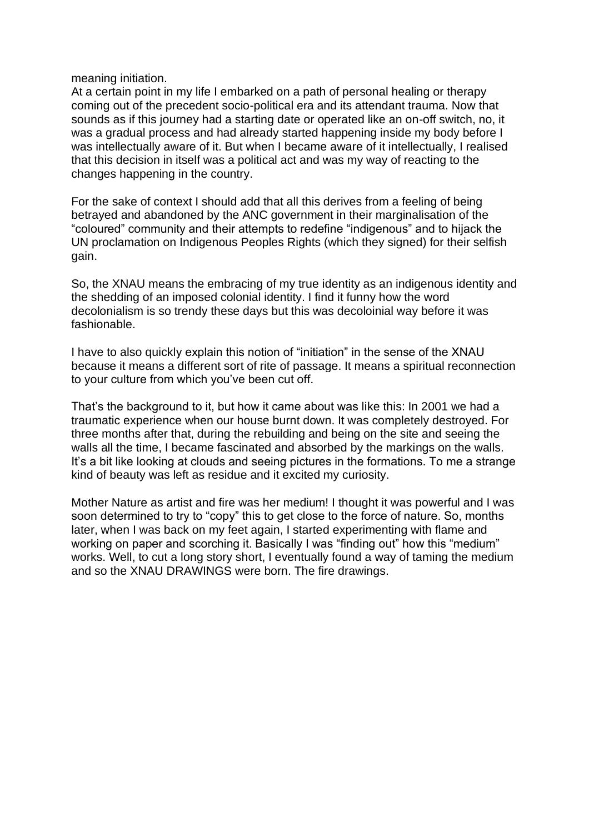meaning initiation.

At a certain point in my life I embarked on a path of personal healing or therapy coming out of the precedent socio-political era and its attendant trauma. Now that sounds as if this journey had a starting date or operated like an on-off switch, no, it was a gradual process and had already started happening inside my body before I was intellectually aware of it. But when I became aware of it intellectually, I realised that this decision in itself was a political act and was my way of reacting to the changes happening in the country.

For the sake of context I should add that all this derives from a feeling of being betrayed and abandoned by the ANC government in their marginalisation of the "coloured" community and their attempts to redefine "indigenous" and to hijack the UN proclamation on Indigenous Peoples Rights (which they signed) for their selfish gain.

So, the XNAU means the embracing of my true identity as an indigenous identity and the shedding of an imposed colonial identity. I find it funny how the word decolonialism is so trendy these days but this was decoloinial way before it was fashionable.

I have to also quickly explain this notion of "initiation" in the sense of the XNAU because it means a different sort of rite of passage. It means a spiritual reconnection to your culture from which you've been cut off.

That's the background to it, but how it came about was like this: In 2001 we had a traumatic experience when our house burnt down. It was completely destroyed. For three months after that, during the rebuilding and being on the site and seeing the walls all the time, I became fascinated and absorbed by the markings on the walls. It's a bit like looking at clouds and seeing pictures in the formations. To me a strange kind of beauty was left as residue and it excited my curiosity.

Mother Nature as artist and fire was her medium! I thought it was powerful and I was soon determined to try to "copy" this to get close to the force of nature. So, months later, when I was back on my feet again, I started experimenting with flame and working on paper and scorching it. Basically I was "finding out" how this "medium" works. Well, to cut a long story short, I eventually found a way of taming the medium and so the XNAU DRAWINGS were born. The fire drawings.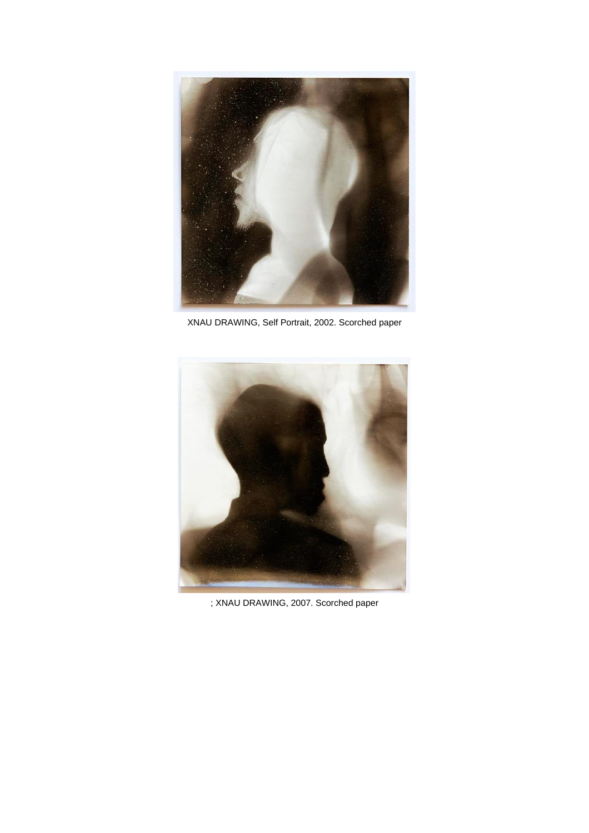

XNAU DRAWING, Self Portrait, 2002. Scorched paper

![](_page_10_Picture_2.jpeg)

; XNAU DRAWING, 2007. Scorched paper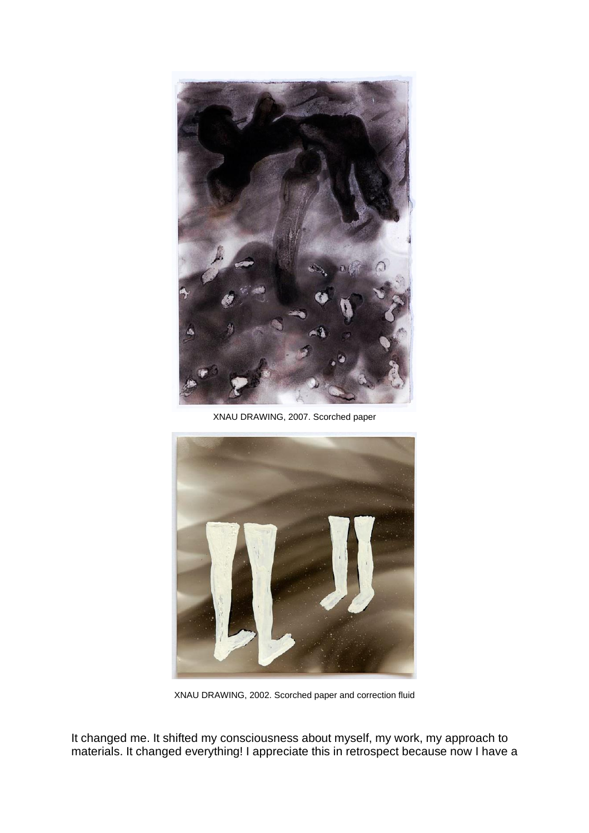![](_page_11_Picture_0.jpeg)

XNAU DRAWING, 2007. Scorched paper

![](_page_11_Picture_2.jpeg)

XNAU DRAWING, 2002. Scorched paper and correction fluid

It changed me. It shifted my consciousness about myself, my work, my approach to materials. It changed everything! I appreciate this in retrospect because now I have a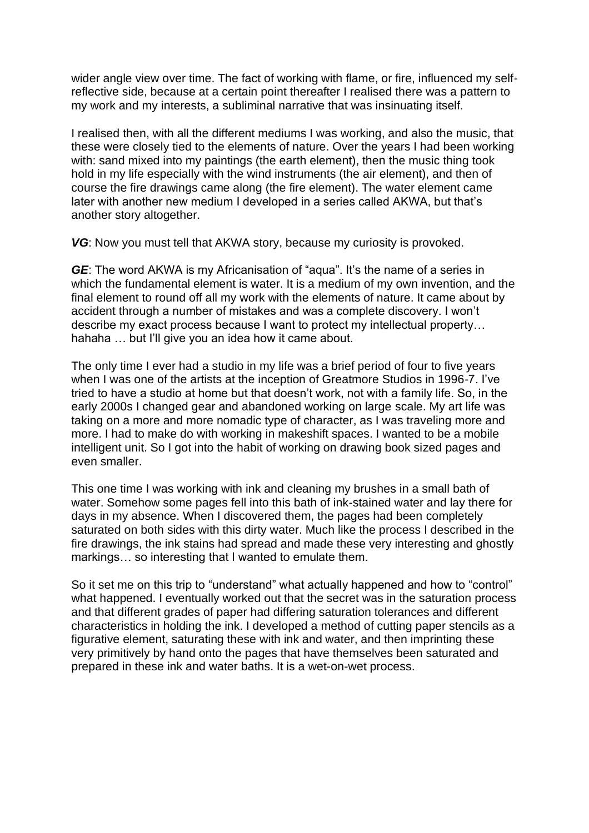wider angle view over time. The fact of working with flame, or fire, influenced my selfreflective side, because at a certain point thereafter I realised there was a pattern to my work and my interests, a subliminal narrative that was insinuating itself.

I realised then, with all the different mediums I was working, and also the music, that these were closely tied to the elements of nature. Over the years I had been working with: sand mixed into my paintings (the earth element), then the music thing took hold in my life especially with the wind instruments (the air element), and then of course the fire drawings came along (the fire element). The water element came later with another new medium I developed in a series called AKWA, but that's another story altogether.

*VG*: Now you must tell that AKWA story, because my curiosity is provoked.

**GE:** The word AKWA is my Africanisation of "aqua". It's the name of a series in which the fundamental element is water. It is a medium of my own invention, and the final element to round off all my work with the elements of nature. It came about by accident through a number of mistakes and was a complete discovery. I won't describe my exact process because I want to protect my intellectual property… hahaha ... but I'll give you an idea how it came about.

The only time I ever had a studio in my life was a brief period of four to five years when I was one of the artists at the inception of Greatmore Studios in 1996-7. I've tried to have a studio at home but that doesn't work, not with a family life. So, in the early 2000s I changed gear and abandoned working on large scale. My art life was taking on a more and more nomadic type of character, as I was traveling more and more. I had to make do with working in makeshift spaces. I wanted to be a mobile intelligent unit. So I got into the habit of working on drawing book sized pages and even smaller.

This one time I was working with ink and cleaning my brushes in a small bath of water. Somehow some pages fell into this bath of ink-stained water and lay there for days in my absence. When I discovered them, the pages had been completely saturated on both sides with this dirty water. Much like the process I described in the fire drawings, the ink stains had spread and made these very interesting and ghostly markings… so interesting that I wanted to emulate them.

So it set me on this trip to "understand" what actually happened and how to "control" what happened. I eventually worked out that the secret was in the saturation process and that different grades of paper had differing saturation tolerances and different characteristics in holding the ink. I developed a method of cutting paper stencils as a figurative element, saturating these with ink and water, and then imprinting these very primitively by hand onto the pages that have themselves been saturated and prepared in these ink and water baths. It is a wet-on-wet process.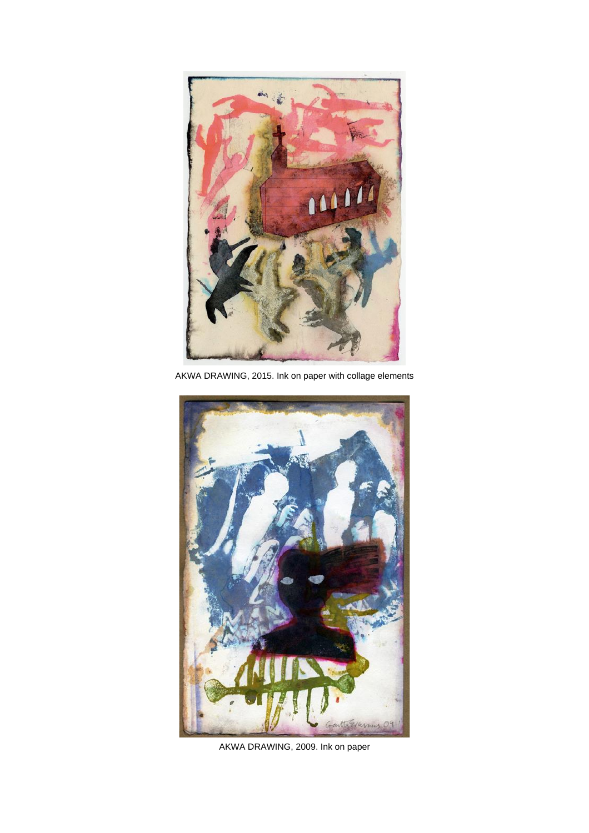![](_page_13_Picture_0.jpeg)

AKWA DRAWING, 2015. Ink on paper with collage elements

![](_page_13_Picture_2.jpeg)

AKWA DRAWING, 2009. Ink on paper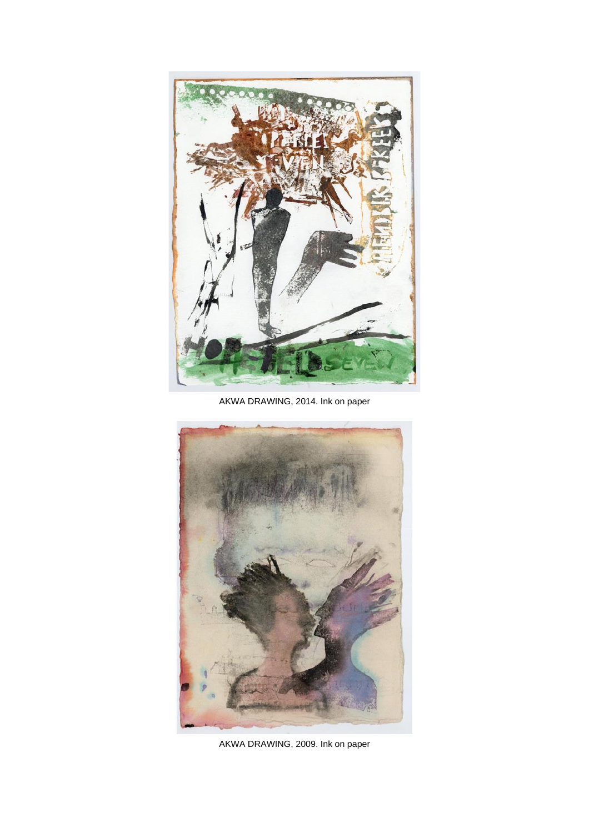![](_page_14_Picture_0.jpeg)

AKWA DRAWING, 2014. Ink on paper

![](_page_14_Picture_2.jpeg)

AKWA DRAWING, 2009. Ink on paper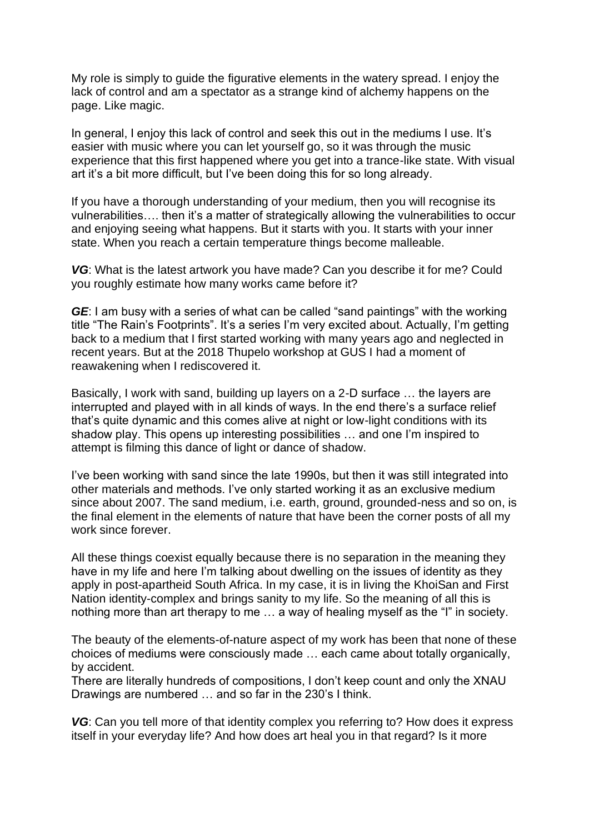My role is simply to guide the figurative elements in the watery spread. I enjoy the lack of control and am a spectator as a strange kind of alchemy happens on the page. Like magic.

In general, I enjoy this lack of control and seek this out in the mediums I use. It's easier with music where you can let yourself go, so it was through the music experience that this first happened where you get into a trance-like state. With visual art it's a bit more difficult, but I've been doing this for so long already.

If you have a thorough understanding of your medium, then you will recognise its vulnerabilities…. then it's a matter of strategically allowing the vulnerabilities to occur and enjoying seeing what happens. But it starts with you. It starts with your inner state. When you reach a certain temperature things become malleable.

*VG*: What is the latest artwork you have made? Can you describe it for me? Could you roughly estimate how many works came before it?

*GE*: I am busy with a series of what can be called "sand paintings" with the working title "The Rain's Footprints". It's a series I'm very excited about. Actually, I'm getting back to a medium that I first started working with many years ago and neglected in recent years. But at the 2018 Thupelo workshop at GUS I had a moment of reawakening when I rediscovered it.

Basically, I work with sand, building up layers on a 2-D surface … the layers are interrupted and played with in all kinds of ways. In the end there's a surface relief that's quite dynamic and this comes alive at night or low-light conditions with its shadow play. This opens up interesting possibilities … and one I'm inspired to attempt is filming this dance of light or dance of shadow.

I've been working with sand since the late 1990s, but then it was still integrated into other materials and methods. I've only started working it as an exclusive medium since about 2007. The sand medium, i.e. earth, ground, grounded-ness and so on, is the final element in the elements of nature that have been the corner posts of all my work since forever.

All these things coexist equally because there is no separation in the meaning they have in my life and here I'm talking about dwelling on the issues of identity as they apply in post-apartheid South Africa. In my case, it is in living the KhoiSan and First Nation identity-complex and brings sanity to my life. So the meaning of all this is nothing more than art therapy to me … a way of healing myself as the "I" in society.

The beauty of the elements-of-nature aspect of my work has been that none of these choices of mediums were consciously made … each came about totally organically, by accident.

There are literally hundreds of compositions, I don't keep count and only the XNAU Drawings are numbered … and so far in the 230's I think.

VG: Can you tell more of that identity complex you referring to? How does it express itself in your everyday life? And how does art heal you in that regard? Is it more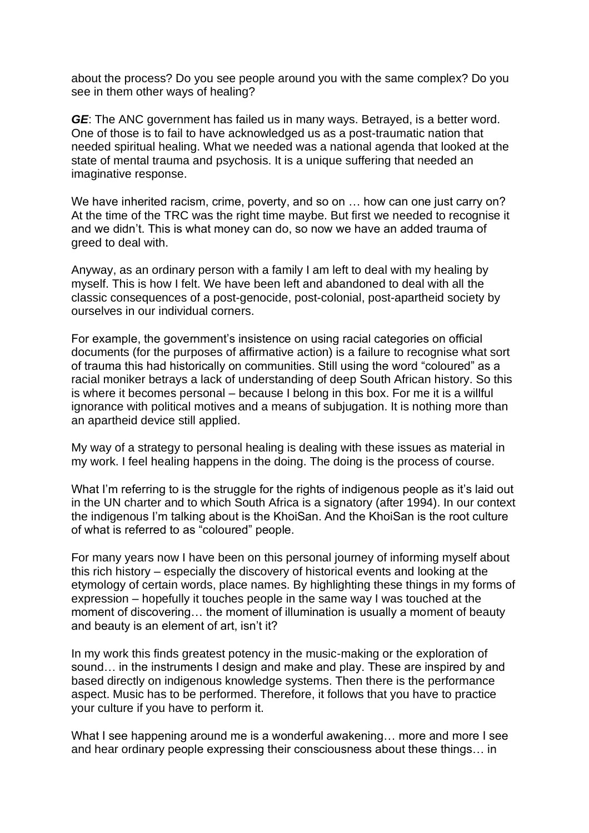about the process? Do you see people around you with the same complex? Do you see in them other ways of healing?

*GE*: The ANC government has failed us in many ways. Betrayed, is a better word. One of those is to fail to have acknowledged us as a post-traumatic nation that needed spiritual healing. What we needed was a national agenda that looked at the state of mental trauma and psychosis. It is a unique suffering that needed an imaginative response.

We have inherited racism, crime, poverty, and so on ... how can one just carry on? At the time of the TRC was the right time maybe. But first we needed to recognise it and we didn't. This is what money can do, so now we have an added trauma of greed to deal with.

Anyway, as an ordinary person with a family I am left to deal with my healing by myself. This is how I felt. We have been left and abandoned to deal with all the classic consequences of a post-genocide, post-colonial, post-apartheid society by ourselves in our individual corners.

For example, the government's insistence on using racial categories on official documents (for the purposes of affirmative action) is a failure to recognise what sort of trauma this had historically on communities. Still using the word "coloured" as a racial moniker betrays a lack of understanding of deep South African history. So this is where it becomes personal – because I belong in this box. For me it is a willful ignorance with political motives and a means of subjugation. It is nothing more than an apartheid device still applied.

My way of a strategy to personal healing is dealing with these issues as material in my work. I feel healing happens in the doing. The doing is the process of course.

What I'm referring to is the struggle for the rights of indigenous people as it's laid out in the UN charter and to which South Africa is a signatory (after 1994). In our context the indigenous I'm talking about is the KhoiSan. And the KhoiSan is the root culture of what is referred to as "coloured" people.

For many years now I have been on this personal journey of informing myself about this rich history – especially the discovery of historical events and looking at the etymology of certain words, place names. By highlighting these things in my forms of expression – hopefully it touches people in the same way I was touched at the moment of discovering… the moment of illumination is usually a moment of beauty and beauty is an element of art, isn't it?

In my work this finds greatest potency in the music-making or the exploration of sound… in the instruments I design and make and play. These are inspired by and based directly on indigenous knowledge systems. Then there is the performance aspect. Music has to be performed. Therefore, it follows that you have to practice your culture if you have to perform it.

What I see happening around me is a wonderful awakening... more and more I see and hear ordinary people expressing their consciousness about these things… in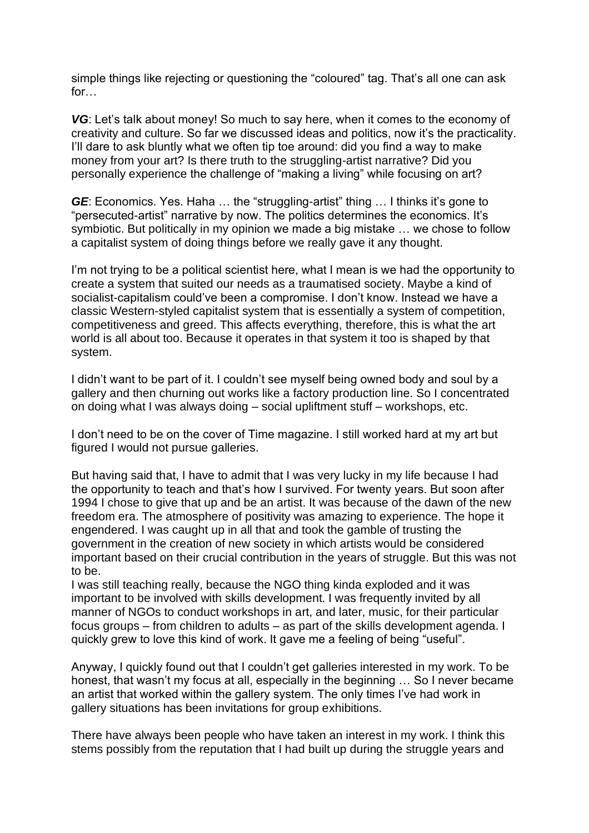simple things like rejecting or questioning the "coloured" tag. That's all one can ask for…

*VG*: Let's talk about money! So much to say here, when it comes to the economy of creativity and culture. So far we discussed ideas and politics, now it's the practicality. I'll dare to ask bluntly what we often tip toe around: did you find a way to make money from your art? Is there truth to the struggling-artist narrative? Did you personally experience the challenge of "making a living" while focusing on art?

*GE*: Economics. Yes. Haha … the "struggling-artist" thing … I thinks it's gone to "persecuted-artist" narrative by now. The politics determines the economics. It's symbiotic. But politically in my opinion we made a big mistake … we chose to follow a capitalist system of doing things before we really gave it any thought.

I'm not trying to be a political scientist here, what I mean is we had the opportunity to create a system that suited our needs as a traumatised society. Maybe a kind of socialist-capitalism could've been a compromise. I don't know. Instead we have a classic Western-styled capitalist system that is essentially a system of competition, competitiveness and greed. This affects everything, therefore, this is what the art world is all about too. Because it operates in that system it too is shaped by that system.

I didn't want to be part of it. I couldn't see myself being owned body and soul by a gallery and then churning out works like a factory production line. So I concentrated on doing what I was always doing – social upliftment stuff – workshops, etc.

I don't need to be on the cover of Time magazine. I still worked hard at my art but figured I would not pursue galleries.

But having said that, I have to admit that I was very lucky in my life because I had the opportunity to teach and that's how I survived. For twenty years. But soon after 1994 I chose to give that up and be an artist. It was because of the dawn of the new freedom era. The atmosphere of positivity was amazing to experience. The hope it engendered. I was caught up in all that and took the gamble of trusting the government in the creation of new society in which artists would be considered important based on their crucial contribution in the years of struggle. But this was not to be.

I was still teaching really, because the NGO thing kinda exploded and it was important to be involved with skills development. I was frequently invited by all manner of NGOs to conduct workshops in art, and later, music, for their particular focus groups – from children to adults – as part of the skills development agenda. I quickly grew to love this kind of work. It gave me a feeling of being "useful".

Anyway, I quickly found out that I couldn't get galleries interested in my work. To be honest, that wasn't my focus at all, especially in the beginning … So I never became an artist that worked within the gallery system. The only times I've had work in gallery situations has been invitations for group exhibitions.

There have always been people who have taken an interest in my work. I think this stems possibly from the reputation that I had built up during the struggle years and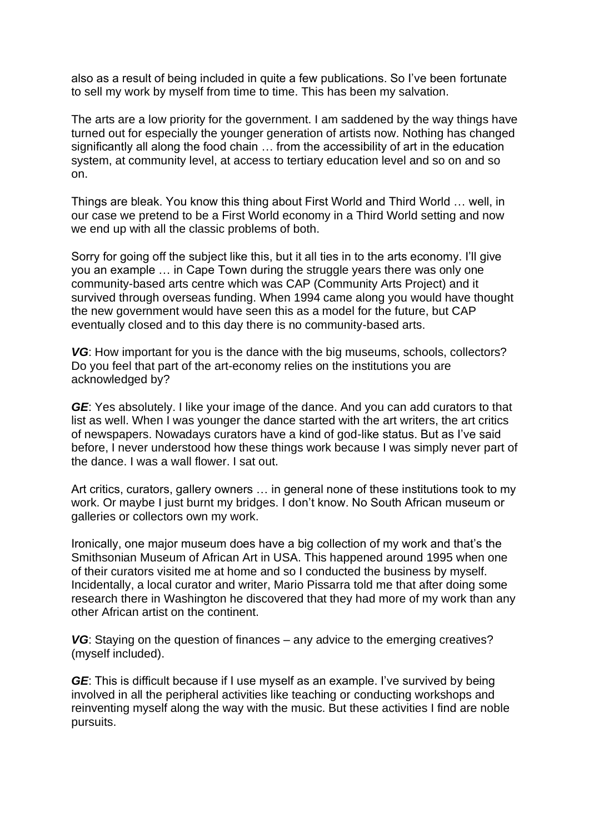also as a result of being included in quite a few publications. So I've been fortunate to sell my work by myself from time to time. This has been my salvation.

The arts are a low priority for the government. I am saddened by the way things have turned out for especially the younger generation of artists now. Nothing has changed significantly all along the food chain … from the accessibility of art in the education system, at community level, at access to tertiary education level and so on and so on.

Things are bleak. You know this thing about First World and Third World … well, in our case we pretend to be a First World economy in a Third World setting and now we end up with all the classic problems of both.

Sorry for going off the subject like this, but it all ties in to the arts economy. I'll give you an example … in Cape Town during the struggle years there was only one community-based arts centre which was CAP (Community Arts Project) and it survived through overseas funding. When 1994 came along you would have thought the new government would have seen this as a model for the future, but CAP eventually closed and to this day there is no community-based arts.

*VG*: How important for you is the dance with the big museums, schools, collectors? Do you feel that part of the art-economy relies on the institutions you are acknowledged by?

*GE*: Yes absolutely. I like your image of the dance. And you can add curators to that list as well. When I was younger the dance started with the art writers, the art critics of newspapers. Nowadays curators have a kind of god-like status. But as I've said before, I never understood how these things work because I was simply never part of the dance. I was a wall flower. I sat out.

Art critics, curators, gallery owners … in general none of these institutions took to my work. Or maybe I just burnt my bridges. I don't know. No South African museum or galleries or collectors own my work.

Ironically, one major museum does have a big collection of my work and that's the Smithsonian Museum of African Art in USA. This happened around 1995 when one of their curators visited me at home and so I conducted the business by myself. Incidentally, a local curator and writer, Mario Pissarra told me that after doing some research there in Washington he discovered that they had more of my work than any other African artist on the continent.

VG: Staying on the question of finances – any advice to the emerging creatives? (myself included).

*GE*: This is difficult because if I use myself as an example. I've survived by being involved in all the peripheral activities like teaching or conducting workshops and reinventing myself along the way with the music. But these activities I find are noble pursuits.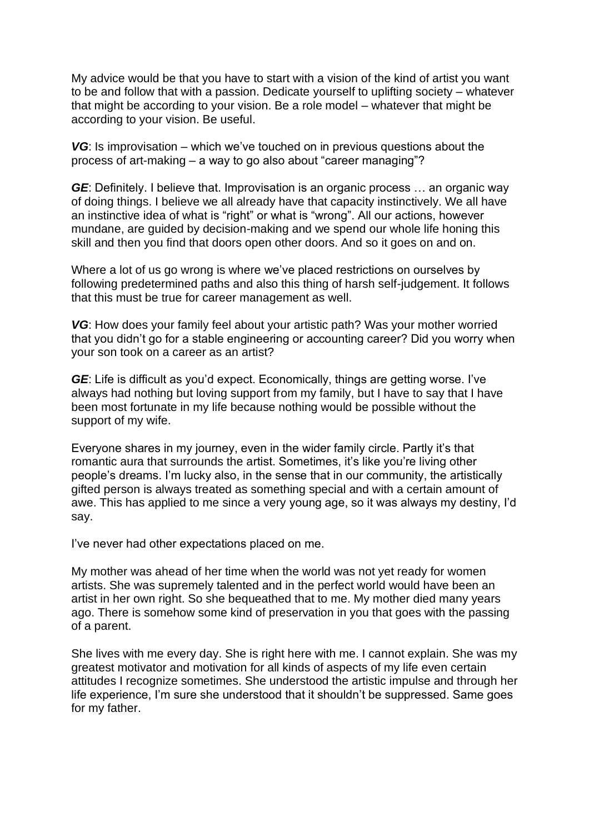My advice would be that you have to start with a vision of the kind of artist you want to be and follow that with a passion. Dedicate yourself to uplifting society – whatever that might be according to your vision. Be a role model – whatever that might be according to your vision. Be useful.

*VG*: Is improvisation – which we've touched on in previous questions about the process of art-making – a way to go also about "career managing"?

*GE*: Definitely. I believe that. Improvisation is an organic process ... an organic way of doing things. I believe we all already have that capacity instinctively. We all have an instinctive idea of what is "right" or what is "wrong". All our actions, however mundane, are guided by decision-making and we spend our whole life honing this skill and then you find that doors open other doors. And so it goes on and on.

Where a lot of us go wrong is where we've placed restrictions on ourselves by following predetermined paths and also this thing of harsh self-judgement. It follows that this must be true for career management as well.

*VG*: How does your family feel about your artistic path? Was your mother worried that you didn't go for a stable engineering or accounting career? Did you worry when your son took on a career as an artist?

*GE*: Life is difficult as you'd expect. Economically, things are getting worse. I've always had nothing but loving support from my family, but I have to say that I have been most fortunate in my life because nothing would be possible without the support of my wife.

Everyone shares in my journey, even in the wider family circle. Partly it's that romantic aura that surrounds the artist. Sometimes, it's like you're living other people's dreams. I'm lucky also, in the sense that in our community, the artistically gifted person is always treated as something special and with a certain amount of awe. This has applied to me since a very young age, so it was always my destiny, I'd say.

I've never had other expectations placed on me.

My mother was ahead of her time when the world was not yet ready for women artists. She was supremely talented and in the perfect world would have been an artist in her own right. So she bequeathed that to me. My mother died many years ago. There is somehow some kind of preservation in you that goes with the passing of a parent.

She lives with me every day. She is right here with me. I cannot explain. She was my greatest motivator and motivation for all kinds of aspects of my life even certain attitudes I recognize sometimes. She understood the artistic impulse and through her life experience, I'm sure she understood that it shouldn't be suppressed. Same goes for my father.